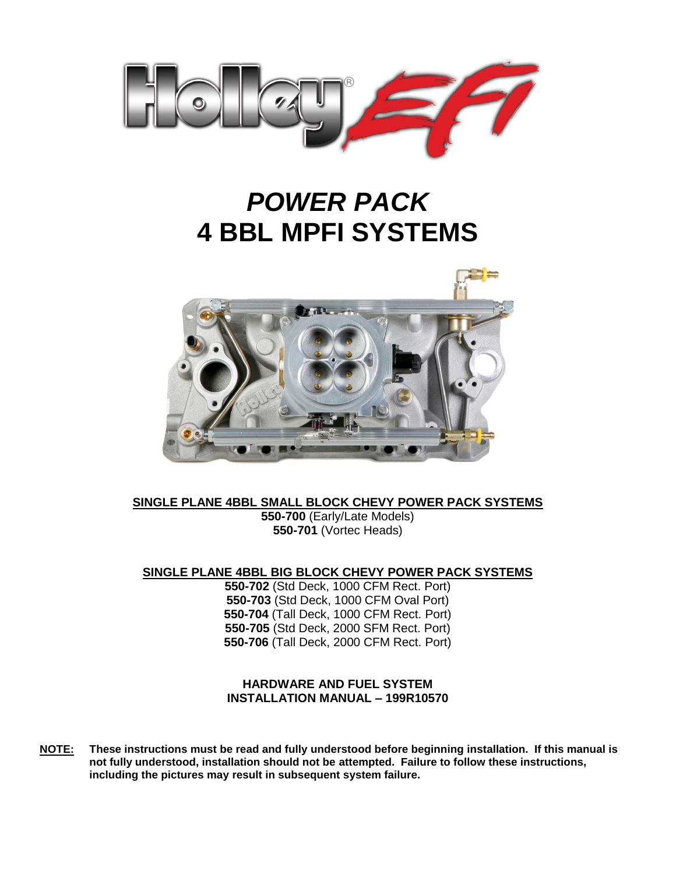

# *POWER PACK* **4 BBL MPFI SYSTEMS**



**SINGLE PLANE 4BBL SMALL BLOCK CHEVY POWER PACK SYSTEMS**

**550-700** (Early/Late Models) **550-701** (Vortec Heads)

**SINGLE PLANE 4BBL BIG BLOCK CHEVY POWER PACK SYSTEMS**

**550-702** (Std Deck, 1000 CFM Rect. Port) **550-703** (Std Deck, 1000 CFM Oval Port) **550-704** (Tall Deck, 1000 CFM Rect. Port) **550-705** (Std Deck, 2000 SFM Rect. Port) **550-706** (Tall Deck, 2000 CFM Rect. Port)

### **HARDWARE AND FUEL SYSTEM INSTALLATION MANUAL – 199R10570**

**NOTE: These instructions must be read and fully understood before beginning installation. If this manual is not fully understood, installation should not be attempted. Failure to follow these instructions, including the pictures may result in subsequent system failure.**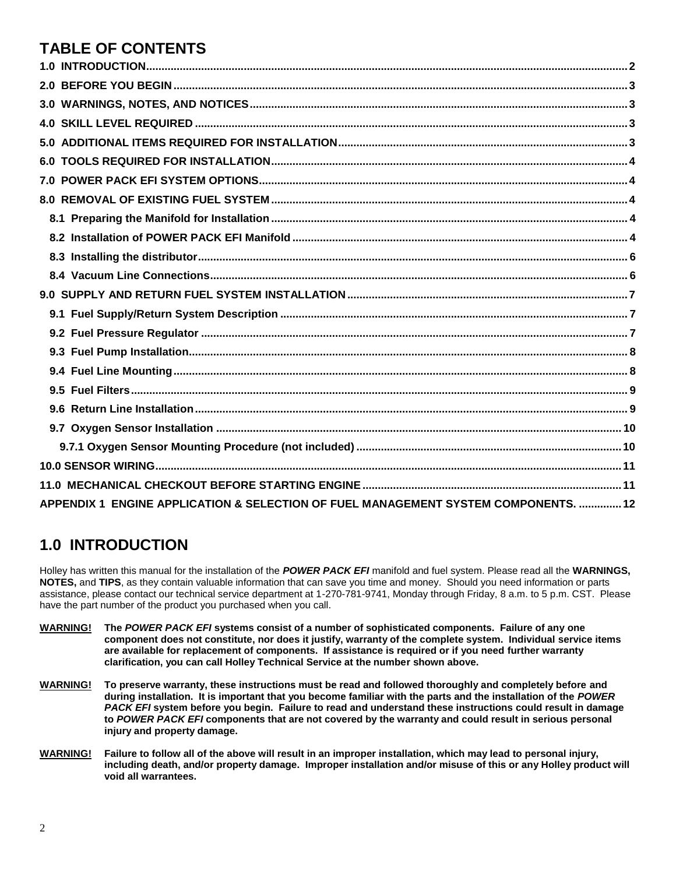# **TABLE OF CONTENTS**

| 6.0                                                                                 |  |
|-------------------------------------------------------------------------------------|--|
|                                                                                     |  |
|                                                                                     |  |
|                                                                                     |  |
|                                                                                     |  |
|                                                                                     |  |
|                                                                                     |  |
|                                                                                     |  |
|                                                                                     |  |
|                                                                                     |  |
|                                                                                     |  |
|                                                                                     |  |
|                                                                                     |  |
|                                                                                     |  |
|                                                                                     |  |
|                                                                                     |  |
|                                                                                     |  |
|                                                                                     |  |
| APPENDIX 1 ENGINE APPLICATION & SELECTION OF FUEL MANAGEMENT SYSTEM COMPONENTS.  12 |  |

# <span id="page-1-0"></span>**1.0 INTRODUCTION**

Holley has written this manual for the installation of the *POWER PACK EFI* manifold and fuel system. Please read all the **WARNINGS, NOTES,** and **TIPS**, as they contain valuable information that can save you time and money. Should you need information or parts assistance, please contact our technical service department at 1-270-781-9741, Monday through Friday, 8 a.m. to 5 p.m. CST. Please have the part number of the product you purchased when you call.

- **WARNING! The** *POWER PACK EFI* **systems consist of a number of sophisticated components. Failure of any one component does not constitute, nor does it justify, warranty of the complete system. Individual service items are available for replacement of components. If assistance is required or if you need further warranty clarification, you can call Holley Technical Service at the number shown above.**
- **WARNING! To preserve warranty, these instructions must be read and followed thoroughly and completely before and during installation. It is important that you become familiar with the parts and the installation of the** *POWER PACK EFI* **system before you begin. Failure to read and understand these instructions could result in damage to** *POWER PACK EFI* **components that are not covered by the warranty and could result in serious personal injury and property damage.**
- **WARNING! Failure to follow all of the above will result in an improper installation, which may lead to personal injury, including death, and/or property damage. Improper installation and/or misuse of this or any Holley product will void all warrantees.**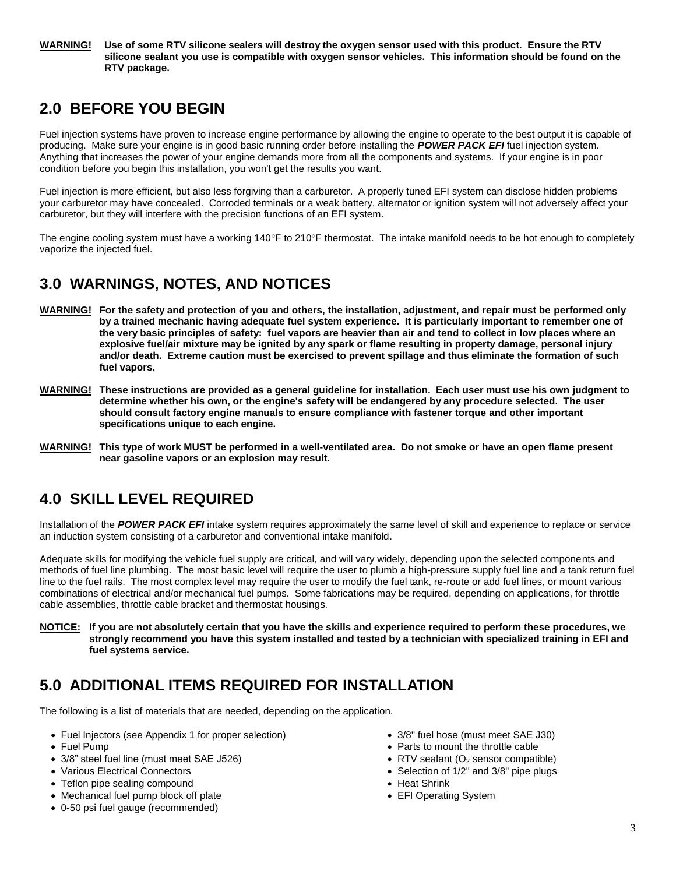#### **WARNING! Use of some RTV silicone sealers will destroy the oxygen sensor used with this product. Ensure the RTV silicone sealant you use is compatible with oxygen sensor vehicles. This information should be found on the RTV package.**

# <span id="page-2-0"></span>**2.0 BEFORE YOU BEGIN**

Fuel injection systems have proven to increase engine performance by allowing the engine to operate to the best output it is capable of producing. Make sure your engine is in good basic running order before installing the *POWER PACK EFI* fuel injection system. Anything that increases the power of your engine demands more from all the components and systems. If your engine is in poor condition before you begin this installation, you won't get the results you want.

Fuel injection is more efficient, but also less forgiving than a carburetor. A properly tuned EFI system can disclose hidden problems your carburetor may have concealed. Corroded terminals or a weak battery, alternator or ignition system will not adversely affect your carburetor, but they will interfere with the precision functions of an EFI system.

The engine cooling system must have a working  $140^{\circ}$ F to  $210^{\circ}$ F thermostat. The intake manifold needs to be hot enough to completely vaporize the injected fuel.

# <span id="page-2-1"></span>**3.0 WARNINGS, NOTES, AND NOTICES**

- **WARNING! For the safety and protection of you and others, the installation, adjustment, and repair must be performed only by a trained mechanic having adequate fuel system experience. It is particularly important to remember one of the very basic principles of safety: fuel vapors are heavier than air and tend to collect in low places where an explosive fuel/air mixture may be ignited by any spark or flame resulting in property damage, personal injury and/or death. Extreme caution must be exercised to prevent spillage and thus eliminate the formation of such fuel vapors.**
- **WARNING! These instructions are provided as a general guideline for installation. Each user must use his own judgment to determine whether his own, or the engine's safety will be endangered by any procedure selected. The user should consult factory engine manuals to ensure compliance with fastener torque and other important specifications unique to each engine.**
- **WARNING! This type of work MUST be performed in a well-ventilated area. Do not smoke or have an open flame present near gasoline vapors or an explosion may result.**

# <span id="page-2-2"></span>**4.0 SKILL LEVEL REQUIRED**

Installation of the *POWER PACK EFI* intake system requires approximately the same level of skill and experience to replace or service an induction system consisting of a carburetor and conventional intake manifold.

Adequate skills for modifying the vehicle fuel supply are critical, and will vary widely, depending upon the selected components and methods of fuel line plumbing. The most basic level will require the user to plumb a high-pressure supply fuel line and a tank return fuel line to the fuel rails. The most complex level may require the user to modify the fuel tank, re-route or add fuel lines, or mount various combinations of electrical and/or mechanical fuel pumps. Some fabrications may be required, depending on applications, for throttle cable assemblies, throttle cable bracket and thermostat housings.

**NOTICE: If you are not absolutely certain that you have the skills and experience required to perform these procedures, we strongly recommend you have this system installed and tested by a technician with specialized training in EFI and fuel systems service.**

# <span id="page-2-3"></span>**5.0 ADDITIONAL ITEMS REQUIRED FOR INSTALLATION**

The following is a list of materials that are needed, depending on the application.

- Fuel Injectors (see Appendix 1 for proper selection) 3/8" fuel hose (must meet SAE J30)
- 
- 3/8" steel fuel line (must meet SAE J526) RTV sealant (O<sup>2</sup> sensor compatible)
- 
- Teflon pipe sealing compound **Example 3** and the sealing compound  **Heat Shrink**
- Mechanical fuel pump block off plate **EXACTE SHOCK OF STACK OF STACK OF STACK OF STACK OF STACK OF STACK OF STACK**
- 0-50 psi fuel gauge (recommended)
- 
- Fuel Pump **Parts to mount the throttle cable** 
	-
- Various Electrical Connectors **Selection of the Selection of 1/2"** and 3/8" pipe plugs
	-
	-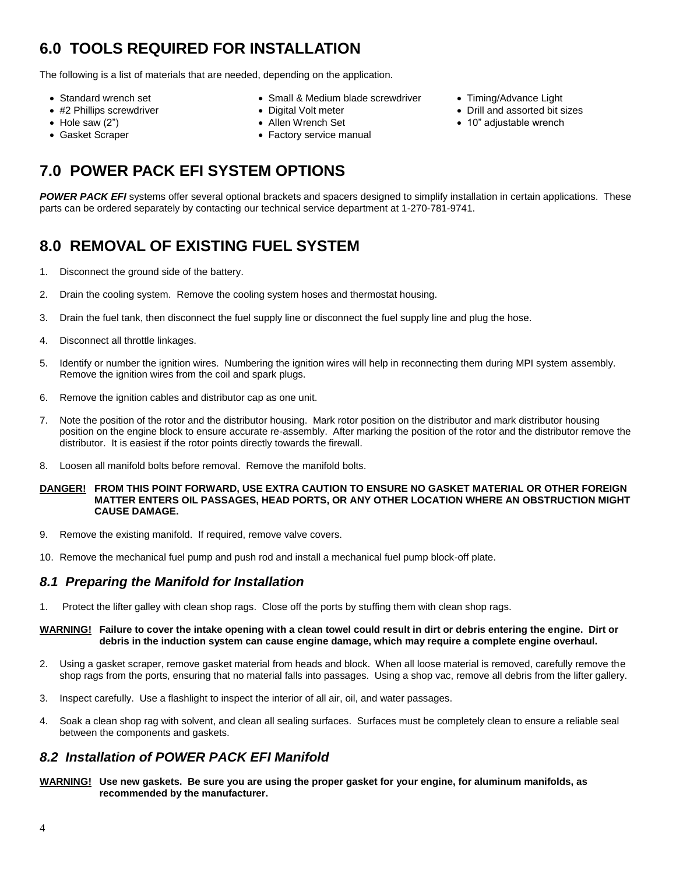# <span id="page-3-0"></span>**6.0 TOOLS REQUIRED FOR INSTALLATION**

The following is a list of materials that are needed, depending on the application.

- 
- 
- 
- 
- Standard wrench set **SMALL STAND Small & Medium blade screwdriver** Timing/Advance Light
	-
	-
- Gasket Scraper **Factory service manual**
- <span id="page-3-1"></span>**7.0 POWER PACK EFI SYSTEM OPTIONS**

*POWER PACK EFI* systems offer several optional brackets and spacers designed to simplify installation in certain applications. These parts can be ordered separately by contacting our technical service department at 1-270-781-9741.

# <span id="page-3-2"></span>**8.0 REMOVAL OF EXISTING FUEL SYSTEM**

- 1. Disconnect the ground side of the battery.
- 2. Drain the cooling system. Remove the cooling system hoses and thermostat housing.
- 3. Drain the fuel tank, then disconnect the fuel supply line or disconnect the fuel supply line and plug the hose.
- 4. Disconnect all throttle linkages.
- 5. Identify or number the ignition wires. Numbering the ignition wires will help in reconnecting them during MPI system assembly. Remove the ignition wires from the coil and spark plugs.
- 6. Remove the ignition cables and distributor cap as one unit.
- 7. Note the position of the rotor and the distributor housing. Mark rotor position on the distributor and mark distributor housing position on the engine block to ensure accurate re-assembly. After marking the position of the rotor and the distributor remove the distributor. It is easiest if the rotor points directly towards the firewall.
- 8. Loosen all manifold bolts before removal. Remove the manifold bolts.
- **DANGER! FROM THIS POINT FORWARD, USE EXTRA CAUTION TO ENSURE NO GASKET MATERIAL OR OTHER FOREIGN MATTER ENTERS OIL PASSAGES, HEAD PORTS, OR ANY OTHER LOCATION WHERE AN OBSTRUCTION MIGHT CAUSE DAMAGE.**
- 9. Remove the existing manifold. If required, remove valve covers.
- 10. Remove the mechanical fuel pump and push rod and install a mechanical fuel pump block-off plate.

### <span id="page-3-3"></span>*8.1 Preparing the Manifold for Installation*

1. Protect the lifter galley with clean shop rags. Close off the ports by stuffing them with clean shop rags.

#### **WARNING! Failure to cover the intake opening with a clean towel could result in dirt or debris entering the engine. Dirt or debris in the induction system can cause engine damage, which may require a complete engine overhaul.**

- 2. Using a gasket scraper, remove gasket material from heads and block. When all loose material is removed, carefully remove the shop rags from the ports, ensuring that no material falls into passages. Using a shop vac, remove all debris from the lifter gallery.
- 3. Inspect carefully. Use a flashlight to inspect the interior of all air, oil, and water passages.
- 4. Soak a clean shop rag with solvent, and clean all sealing surfaces. Surfaces must be completely clean to ensure a reliable seal between the components and gaskets.

### <span id="page-3-4"></span>*8.2 Installation of POWER PACK EFI Manifold*

**WARNING! Use new gaskets. Be sure you are using the proper gasket for your engine, for aluminum manifolds, as recommended by the manufacturer.**

- #2 Phillips screwdriver **Calcular Contract Contract Contract Contract Contract Contract Oriental Principle Pigital Volt meter and Contract Principle Digital Volt meter <b>Contract Contract Principle Principle Principle Pri**
- Hole saw (2") Allen Wrench Set 10" adjustable wrench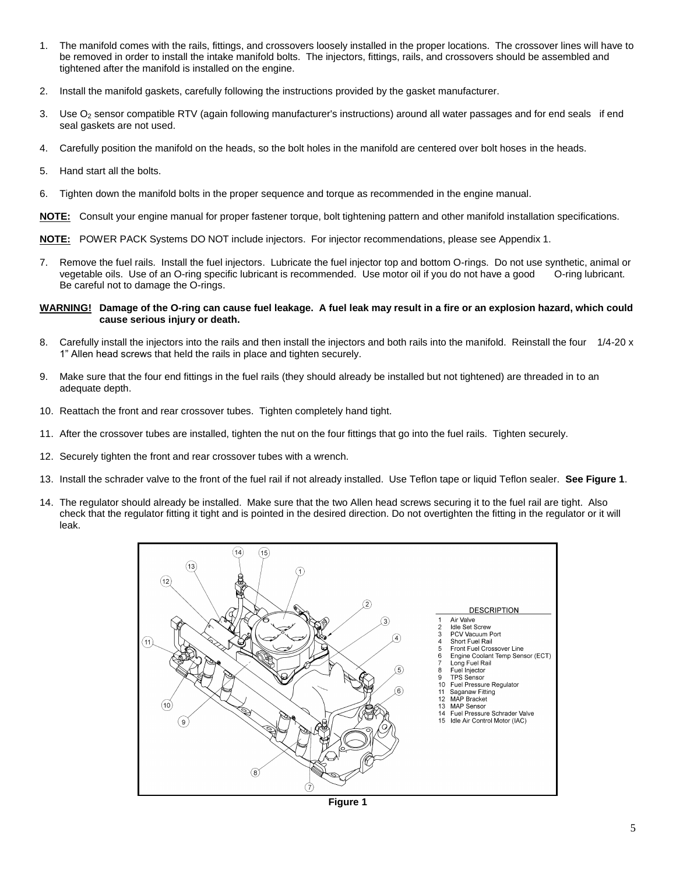- 1. The manifold comes with the rails, fittings, and crossovers loosely installed in the proper locations. The crossover lines will have to be removed in order to install the intake manifold bolts. The injectors, fittings, rails, and crossovers should be assembled and tightened after the manifold is installed on the engine.
- 2. Install the manifold gaskets, carefully following the instructions provided by the gasket manufacturer.
- 3. Use O<sup>2</sup> sensor compatible RTV (again following manufacturer's instructions) around all water passages and for end seals if end seal gaskets are not used.
- 4. Carefully position the manifold on the heads, so the bolt holes in the manifold are centered over bolt hoses in the heads.
- 5. Hand start all the bolts.
- 6. Tighten down the manifold bolts in the proper sequence and torque as recommended in the engine manual.

**NOTE:** Consult your engine manual for proper fastener torque, bolt tightening pattern and other manifold installation specifications.

**NOTE:** POWER PACK Systems DO NOT include injectors. For injector recommendations, please see Appendix 1.

7. Remove the fuel rails. Install the fuel injectors. Lubricate the fuel injector top and bottom O-rings. Do not use synthetic, animal or vegetable oils. Use of an O-ring specific lubricant is recommended. Use motor oil if you do not have a good O-ring lubricant. Be careful not to damage the O-rings.

#### **WARNING! Damage of the O-ring can cause fuel leakage. A fuel leak may result in a fire or an explosion hazard, which could cause serious injury or death.**

- 8. Carefully install the injectors into the rails and then install the injectors and both rails into the manifold. Reinstall the four 1/4-20 x 1" Allen head screws that held the rails in place and tighten securely.
- 9. Make sure that the four end fittings in the fuel rails (they should already be installed but not tightened) are threaded in to an adequate depth.
- 10. Reattach the front and rear crossover tubes. Tighten completely hand tight.
- 11. After the crossover tubes are installed, tighten the nut on the four fittings that go into the fuel rails. Tighten securely.
- 12. Securely tighten the front and rear crossover tubes with a wrench.
- 13. Install the schrader valve to the front of the fuel rail if not already installed. Use Teflon tape or liquid Teflon sealer. **See Figure 1**.
- 14. The regulator should already be installed. Make sure that the two Allen head screws securing it to the fuel rail are tight. Also check that the regulator fitting it tight and is pointed in the desired direction. Do not overtighten the fitting in the regulator or it will leak.



**Figure 1**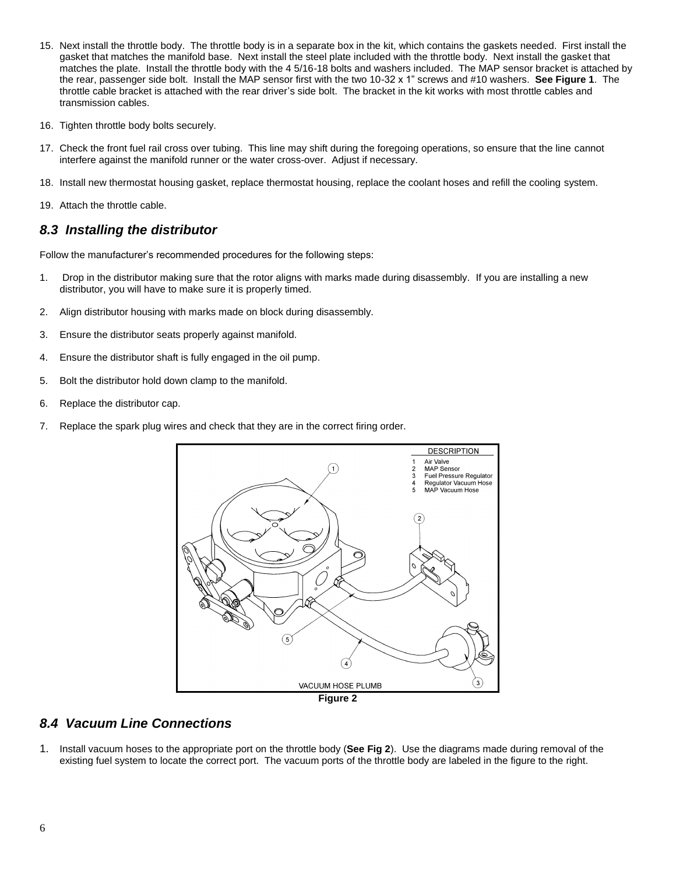- 15. Next install the throttle body. The throttle body is in a separate box in the kit, which contains the gaskets needed. First install the gasket that matches the manifold base. Next install the steel plate included with the throttle body. Next install the gasket that matches the plate. Install the throttle body with the 4 5/16-18 bolts and washers included. The MAP sensor bracket is attached by the rear, passenger side bolt. Install the MAP sensor first with the two 10-32 x 1" screws and #10 washers. **See Figure 1**. The throttle cable bracket is attached with the rear driver's side bolt. The bracket in the kit works with most throttle cables and transmission cables.
- 16. Tighten throttle body bolts securely.
- 17. Check the front fuel rail cross over tubing. This line may shift during the foregoing operations, so ensure that the line cannot interfere against the manifold runner or the water cross-over. Adjust if necessary.
- 18. Install new thermostat housing gasket, replace thermostat housing, replace the coolant hoses and refill the cooling system.
- 19. Attach the throttle cable.

### <span id="page-5-0"></span>*8.3 Installing the distributor*

Follow the manufacturer's recommended procedures for the following steps:

- 1. Drop in the distributor making sure that the rotor aligns with marks made during disassembly. If you are installing a new distributor, you will have to make sure it is properly timed.
- 2. Align distributor housing with marks made on block during disassembly.
- 3. Ensure the distributor seats properly against manifold.
- 4. Ensure the distributor shaft is fully engaged in the oil pump.
- 5. Bolt the distributor hold down clamp to the manifold.
- 6. Replace the distributor cap.
- 7. Replace the spark plug wires and check that they are in the correct firing order.



**Figure 2**

### <span id="page-5-1"></span>*8.4 Vacuum Line Connections*

1. Install vacuum hoses to the appropriate port on the throttle body (**See Fig 2**). Use the diagrams made during removal of the existing fuel system to locate the correct port. The vacuum ports of the throttle body are labeled in the figure to the right.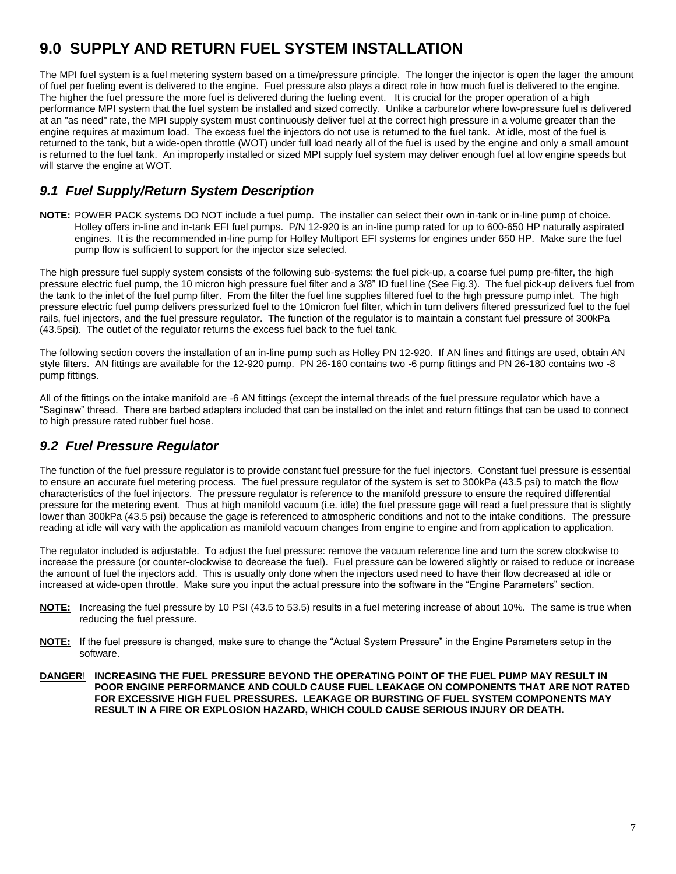# <span id="page-6-0"></span>**9.0 SUPPLY AND RETURN FUEL SYSTEM INSTALLATION**

The MPI fuel system is a fuel metering system based on a time/pressure principle. The longer the injector is open the lager the amount of fuel per fueling event is delivered to the engine. Fuel pressure also plays a direct role in how much fuel is delivered to the engine. The higher the fuel pressure the more fuel is delivered during the fueling event. It is crucial for the proper operation of a high performance MPI system that the fuel system be installed and sized correctly. Unlike a carburetor where low-pressure fuel is delivered at an "as need" rate, the MPI supply system must continuously deliver fuel at the correct high pressure in a volume greater than the engine requires at maximum load. The excess fuel the injectors do not use is returned to the fuel tank. At idle, most of the fuel is returned to the tank, but a wide-open throttle (WOT) under full load nearly all of the fuel is used by the engine and only a small amount is returned to the fuel tank. An improperly installed or sized MPI supply fuel system may deliver enough fuel at low engine speeds but will starve the engine at WOT.

### <span id="page-6-1"></span>*9.1 Fuel Supply/Return System Description*

**NOTE:** POWER PACK systems DO NOT include a fuel pump. The installer can select their own in-tank or in-line pump of choice. Holley offers in-line and in-tank EFI fuel pumps. P/N 12-920 is an in-line pump rated for up to 600-650 HP naturally aspirated engines. It is the recommended in-line pump for Holley Multiport EFI systems for engines under 650 HP. Make sure the fuel pump flow is sufficient to support for the injector size selected.

The high pressure fuel supply system consists of the following sub-systems: the fuel pick-up, a coarse fuel pump pre-filter, the high pressure electric fuel pump, the 10 micron high pressure fuel filter and a 3/8" ID fuel line (See Fig.3). The fuel pick-up delivers fuel from the tank to the inlet of the fuel pump filter. From the filter the fuel line supplies filtered fuel to the high pressure pump inlet. The high pressure electric fuel pump delivers pressurized fuel to the 10micron fuel filter, which in turn delivers filtered pressurized fuel to the fuel rails, fuel injectors, and the fuel pressure regulator. The function of the regulator is to maintain a constant fuel pressure of 300kPa (43.5psi). The outlet of the regulator returns the excess fuel back to the fuel tank.

The following section covers the installation of an in-line pump such as Holley PN 12-920. If AN lines and fittings are used, obtain AN style filters. AN fittings are available for the 12-920 pump. PN 26-160 contains two -6 pump fittings and PN 26-180 contains two -8 pump fittings.

All of the fittings on the intake manifold are -6 AN fittings (except the internal threads of the fuel pressure regulator which have a "Saginaw" thread. There are barbed adapters included that can be installed on the inlet and return fittings that can be used to connect to high pressure rated rubber fuel hose.

### <span id="page-6-2"></span>*9.2 Fuel Pressure Regulator*

The function of the fuel pressure regulator is to provide constant fuel pressure for the fuel injectors. Constant fuel pressure is essential to ensure an accurate fuel metering process. The fuel pressure regulator of the system is set to 300kPa (43.5 psi) to match the flow characteristics of the fuel injectors. The pressure regulator is reference to the manifold pressure to ensure the required differential pressure for the metering event. Thus at high manifold vacuum (i.e. idle) the fuel pressure gage will read a fuel pressure that is slightly lower than 300kPa (43.5 psi) because the gage is referenced to atmospheric conditions and not to the intake conditions. The pressure reading at idle will vary with the application as manifold vacuum changes from engine to engine and from application to application.

The regulator included is adjustable. To adjust the fuel pressure: remove the vacuum reference line and turn the screw clockwise to increase the pressure (or counter-clockwise to decrease the fuel). Fuel pressure can be lowered slightly or raised to reduce or increase the amount of fuel the injectors add. This is usually only done when the injectors used need to have their flow decreased at idle or increased at wide-open throttle. Make sure you input the actual pressure into the software in the "Engine Parameters" section.

- **NOTE:** Increasing the fuel pressure by 10 PSI (43.5 to 53.5) results in a fuel metering increase of about 10%. The same is true when reducing the fuel pressure.
- **NOTE:** If the fuel pressure is changed, make sure to change the "Actual System Pressure" in the Engine Parameters setup in the software.
- **DANGER**! **INCREASING THE FUEL PRESSURE BEYOND THE OPERATING POINT OF THE FUEL PUMP MAY RESULT IN POOR ENGINE PERFORMANCE AND COULD CAUSE FUEL LEAKAGE ON COMPONENTS THAT ARE NOT RATED FOR EXCESSIVE HIGH FUEL PRESSURES. LEAKAGE OR BURSTING OF FUEL SYSTEM COMPONENTS MAY RESULT IN A FIRE OR EXPLOSION HAZARD, WHICH COULD CAUSE SERIOUS INJURY OR DEATH.**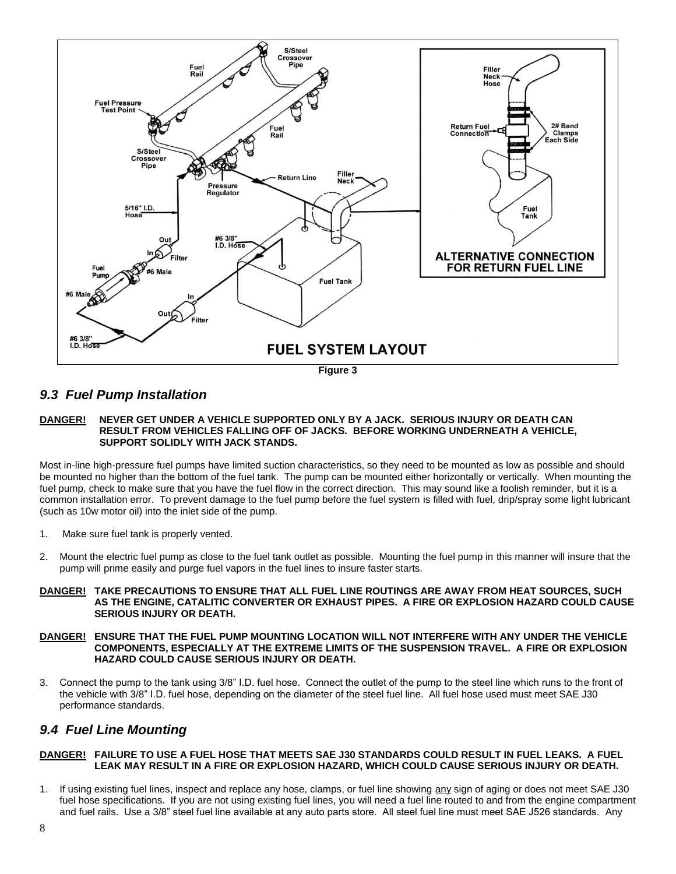

### <span id="page-7-0"></span>*9.3 Fuel Pump Installation*

#### **DANGER! NEVER GET UNDER A VEHICLE SUPPORTED ONLY BY A JACK. SERIOUS INJURY OR DEATH CAN RESULT FROM VEHICLES FALLING OFF OF JACKS. BEFORE WORKING UNDERNEATH A VEHICLE, SUPPORT SOLIDLY WITH JACK STANDS.**

Most in-line high-pressure fuel pumps have limited suction characteristics, so they need to be mounted as low as possible and should be mounted no higher than the bottom of the fuel tank. The pump can be mounted either horizontally or vertically. When mounting the fuel pump, check to make sure that you have the fuel flow in the correct direction. This may sound like a foolish reminder, but it is a common installation error. To prevent damage to the fuel pump before the fuel system is filled with fuel, drip/spray some light lubricant (such as 10w motor oil) into the inlet side of the pump.

- 1. Make sure fuel tank is properly vented.
- 2. Mount the electric fuel pump as close to the fuel tank outlet as possible. Mounting the fuel pump in this manner will insure that the pump will prime easily and purge fuel vapors in the fuel lines to insure faster starts.
- **DANGER! TAKE PRECAUTIONS TO ENSURE THAT ALL FUEL LINE ROUTINGS ARE AWAY FROM HEAT SOURCES, SUCH AS THE ENGINE, CATALITIC CONVERTER OR EXHAUST PIPES. A FIRE OR EXPLOSION HAZARD COULD CAUSE SERIOUS INJURY OR DEATH.**
- **DANGER! ENSURE THAT THE FUEL PUMP MOUNTING LOCATION WILL NOT INTERFERE WITH ANY UNDER THE VEHICLE COMPONENTS, ESPECIALLY AT THE EXTREME LIMITS OF THE SUSPENSION TRAVEL. A FIRE OR EXPLOSION HAZARD COULD CAUSE SERIOUS INJURY OR DEATH.**
- 3. Connect the pump to the tank using 3/8" I.D. fuel hose. Connect the outlet of the pump to the steel line which runs to the front of the vehicle with 3/8" I.D. fuel hose, depending on the diameter of the steel fuel line. All fuel hose used must meet SAE J30 performance standards.

### <span id="page-7-1"></span>*9.4 Fuel Line Mounting*

#### **DANGER! FAILURE TO USE A FUEL HOSE THAT MEETS SAE J30 STANDARDS COULD RESULT IN FUEL LEAKS. A FUEL LEAK MAY RESULT IN A FIRE OR EXPLOSION HAZARD, WHICH COULD CAUSE SERIOUS INJURY OR DEATH.**

1. If using existing fuel lines, inspect and replace any hose, clamps, or fuel line showing any sign of aging or does not meet SAE J30 fuel hose specifications. If you are not using existing fuel lines, you will need a fuel line routed to and from the engine compartment and fuel rails. Use a 3/8" steel fuel line available at any auto parts store. All steel fuel line must meet SAE J526 standards. Any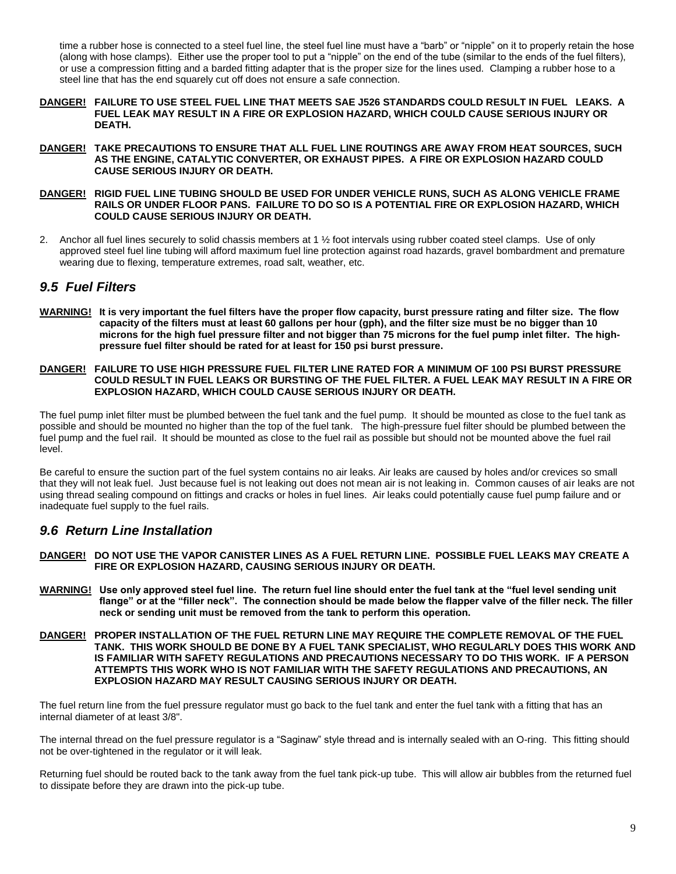time a rubber hose is connected to a steel fuel line, the steel fuel line must have a "barb" or "nipple" on it to properly retain the hose (along with hose clamps). Either use the proper tool to put a "nipple" on the end of the tube (similar to the ends of the fuel filters), or use a compression fitting and a barded fitting adapter that is the proper size for the lines used. Clamping a rubber hose to a steel line that has the end squarely cut off does not ensure a safe connection.

- **DANGER! FAILURE TO USE STEEL FUEL LINE THAT MEETS SAE J526 STANDARDS COULD RESULT IN FUEL LEAKS. A FUEL LEAK MAY RESULT IN A FIRE OR EXPLOSION HAZARD, WHICH COULD CAUSE SERIOUS INJURY OR DEATH.**
- **DANGER! TAKE PRECAUTIONS TO ENSURE THAT ALL FUEL LINE ROUTINGS ARE AWAY FROM HEAT SOURCES, SUCH AS THE ENGINE, CATALYTIC CONVERTER, OR EXHAUST PIPES. A FIRE OR EXPLOSION HAZARD COULD CAUSE SERIOUS INJURY OR DEATH.**
- **DANGER! RIGID FUEL LINE TUBING SHOULD BE USED FOR UNDER VEHICLE RUNS, SUCH AS ALONG VEHICLE FRAME RAILS OR UNDER FLOOR PANS. FAILURE TO DO SO IS A POTENTIAL FIRE OR EXPLOSION HAZARD, WHICH COULD CAUSE SERIOUS INJURY OR DEATH.**
- 2. Anchor all fuel lines securely to solid chassis members at 1 ½ foot intervals using rubber coated steel clamps. Use of only approved steel fuel line tubing will afford maximum fuel line protection against road hazards, gravel bombardment and premature wearing due to flexing, temperature extremes, road salt, weather, etc.

### <span id="page-8-0"></span>*9.5 Fuel Filters*

**WARNING! It is very important the fuel filters have the proper flow capacity, burst pressure rating and filter size. The flow capacity of the filters must at least 60 gallons per hour (gph), and the filter size must be no bigger than 10 microns for the high fuel pressure filter and not bigger than 75 microns for the fuel pump inlet filter. The highpressure fuel filter should be rated for at least for 150 psi burst pressure.**

#### **DANGER! FAILURE TO USE HIGH PRESSURE FUEL FILTER LINE RATED FOR A MINIMUM OF 100 PSI BURST PRESSURE COULD RESULT IN FUEL LEAKS OR BURSTING OF THE FUEL FILTER. A FUEL LEAK MAY RESULT IN A FIRE OR EXPLOSION HAZARD, WHICH COULD CAUSE SERIOUS INJURY OR DEATH.**

The fuel pump inlet filter must be plumbed between the fuel tank and the fuel pump. It should be mounted as close to the fuel tank as possible and should be mounted no higher than the top of the fuel tank. The high-pressure fuel filter should be plumbed between the fuel pump and the fuel rail. It should be mounted as close to the fuel rail as possible but should not be mounted above the fuel rail level.

Be careful to ensure the suction part of the fuel system contains no air leaks. Air leaks are caused by holes and/or crevices so small that they will not leak fuel. Just because fuel is not leaking out does not mean air is not leaking in. Common causes of air leaks are not using thread sealing compound on fittings and cracks or holes in fuel lines. Air leaks could potentially cause fuel pump failure and or inadequate fuel supply to the fuel rails.

### <span id="page-8-1"></span>*9.6 Return Line Installation*

- **DANGER! DO NOT USE THE VAPOR CANISTER LINES AS A FUEL RETURN LINE. POSSIBLE FUEL LEAKS MAY CREATE A FIRE OR EXPLOSION HAZARD, CAUSING SERIOUS INJURY OR DEATH.**
- **WARNING! Use only approved steel fuel line. The return fuel line should enter the fuel tank at the "fuel level sending unit flange" or at the "filler neck". The connection should be made below the flapper valve of the filler neck. The filler neck or sending unit must be removed from the tank to perform this operation.**

#### **DANGER! PROPER INSTALLATION OF THE FUEL RETURN LINE MAY REQUIRE THE COMPLETE REMOVAL OF THE FUEL TANK. THIS WORK SHOULD BE DONE BY A FUEL TANK SPECIALIST, WHO REGULARLY DOES THIS WORK AND IS FAMILIAR WITH SAFETY REGULATIONS AND PRECAUTIONS NECESSARY TO DO THIS WORK. IF A PERSON ATTEMPTS THIS WORK WHO IS NOT FAMILIAR WITH THE SAFETY REGULATIONS AND PRECAUTIONS, AN EXPLOSION HAZARD MAY RESULT CAUSING SERIOUS INJURY OR DEATH.**

The fuel return line from the fuel pressure regulator must go back to the fuel tank and enter the fuel tank with a fitting that has an internal diameter of at least 3/8".

The internal thread on the fuel pressure regulator is a "Saginaw" style thread and is internally sealed with an O-ring. This fitting should not be over-tightened in the regulator or it will leak.

Returning fuel should be routed back to the tank away from the fuel tank pick-up tube. This will allow air bubbles from the returned fuel to dissipate before they are drawn into the pick-up tube.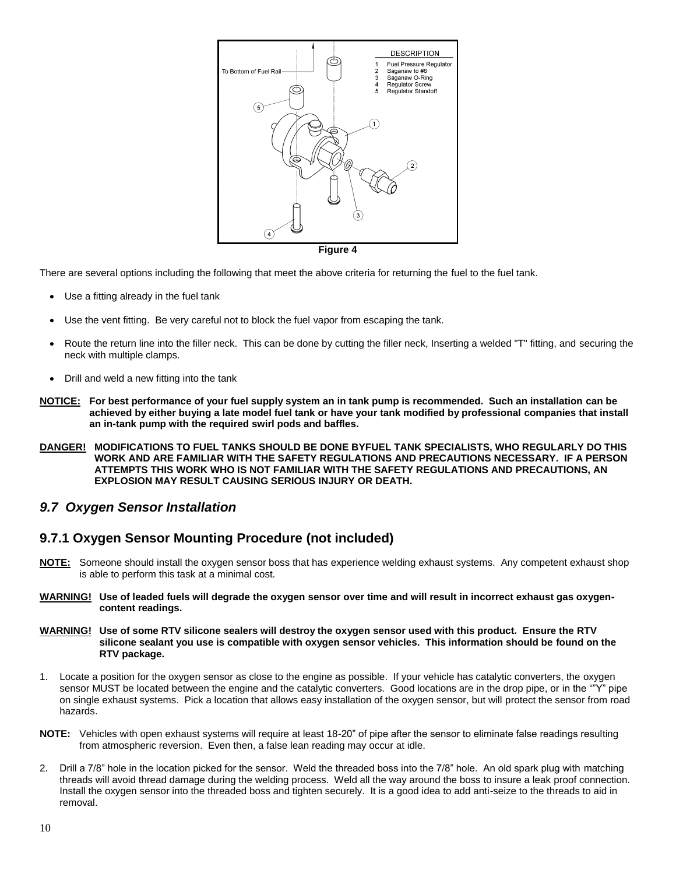

There are several options including the following that meet the above criteria for returning the fuel to the fuel tank.

- Use a fitting already in the fuel tank
- Use the vent fitting. Be very careful not to block the fuel vapor from escaping the tank.
- Route the return line into the filler neck. This can be done by cutting the filler neck, Inserting a welded "T" fitting, and securing the neck with multiple clamps.
- Drill and weld a new fitting into the tank
- **NOTICE: For best performance of your fuel supply system an in tank pump is recommended. Such an installation can be achieved by either buying a late model fuel tank or have your tank modified by professional companies that install an in-tank pump with the required swirl pods and baffles.**
- **DANGER! MODIFICATIONS TO FUEL TANKS SHOULD BE DONE BYFUEL TANK SPECIALISTS, WHO REGULARLY DO THIS WORK AND ARE FAMILIAR WITH THE SAFETY REGULATIONS AND PRECAUTIONS NECESSARY. IF A PERSON ATTEMPTS THIS WORK WHO IS NOT FAMILIAR WITH THE SAFETY REGULATIONS AND PRECAUTIONS, AN EXPLOSION MAY RESULT CAUSING SERIOUS INJURY OR DEATH.**

### <span id="page-9-0"></span>*9.7 Oxygen Sensor Installation*

### <span id="page-9-1"></span>**9.7.1 Oxygen Sensor Mounting Procedure (not included)**

- **NOTE:** Someone should install the oxygen sensor boss that has experience welding exhaust systems. Any competent exhaust shop is able to perform this task at a minimal cost.
- **WARNING! Use of leaded fuels will degrade the oxygen sensor over time and will result in incorrect exhaust gas oxygencontent readings.**
- **WARNING! Use of some RTV silicone sealers will destroy the oxygen sensor used with this product. Ensure the RTV silicone sealant you use is compatible with oxygen sensor vehicles. This information should be found on the RTV package.**
- 1. Locate a position for the oxygen sensor as close to the engine as possible. If your vehicle has catalytic converters, the oxygen sensor MUST be located between the engine and the catalytic converters. Good locations are in the drop pipe, or in the ""Y" pipe on single exhaust systems. Pick a location that allows easy installation of the oxygen sensor, but will protect the sensor from road hazards.
- **NOTE:** Vehicles with open exhaust systems will require at least 18-20" of pipe after the sensor to eliminate false readings resulting from atmospheric reversion. Even then, a false lean reading may occur at idle.
- 2. Drill a 7/8" hole in the location picked for the sensor. Weld the threaded boss into the 7/8" hole. An old spark plug with matching threads will avoid thread damage during the welding process. Weld all the way around the boss to insure a leak proof connection. Install the oxygen sensor into the threaded boss and tighten securely. It is a good idea to add anti-seize to the threads to aid in removal.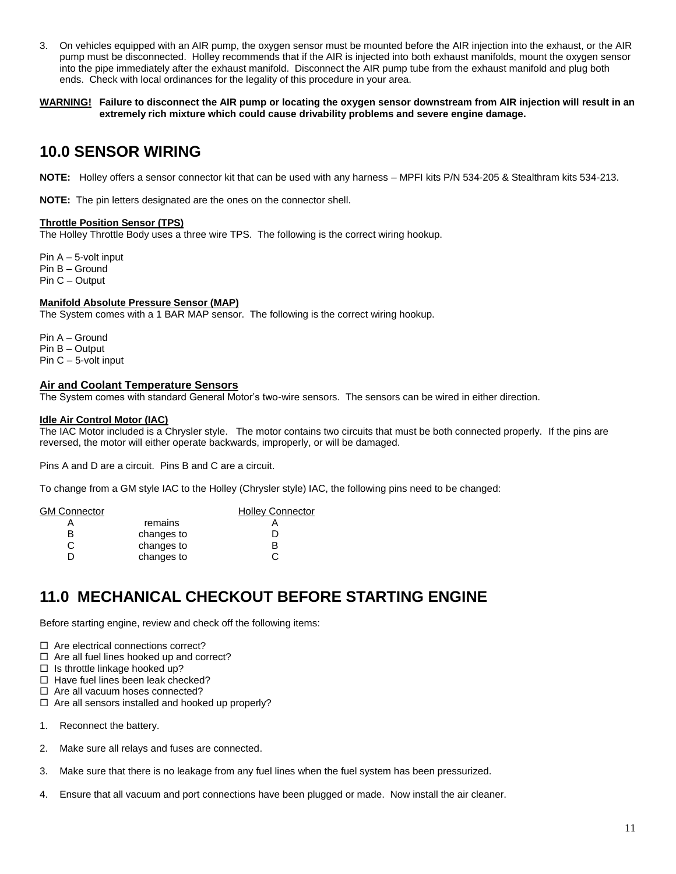- 3. On vehicles equipped with an AIR pump, the oxygen sensor must be mounted before the AIR injection into the exhaust, or the AIR pump must be disconnected. Holley recommends that if the AIR is injected into both exhaust manifolds, mount the oxygen sensor into the pipe immediately after the exhaust manifold. Disconnect the AIR pump tube from the exhaust manifold and plug both ends. Check with local ordinances for the legality of this procedure in your area.
- **WARNING! Failure to disconnect the AIR pump or locating the oxygen sensor downstream from AIR injection will result in an extremely rich mixture which could cause drivability problems and severe engine damage.**

## <span id="page-10-0"></span>**10.0 SENSOR WIRING**

**NOTE:** Holley offers a sensor connector kit that can be used with any harness – MPFI kits P/N 534-205 & Stealthram kits 534-213.

**NOTE:** The pin letters designated are the ones on the connector shell.

#### **Throttle Position Sensor (TPS)**

The Holley Throttle Body uses a three wire TPS. The following is the correct wiring hookup.

Pin A – 5-volt input Pin B – Ground Pin C – Output

#### **Manifold Absolute Pressure Sensor (MAP)**

The System comes with a 1 BAR MAP sensor. The following is the correct wiring hookup.

Pin A – Ground Pin B – Output Pin C – 5-volt input

#### **Air and Coolant Temperature Sensors**

The System comes with standard General Motor's two-wire sensors. The sensors can be wired in either direction.

#### **Idle Air Control Motor (IAC)**

The IAC Motor included is a Chrysler style. The motor contains two circuits that must be both connected properly. If the pins are reversed, the motor will either operate backwards, improperly, or will be damaged.

Pins A and D are a circuit. Pins B and C are a circuit.

To change from a GM style IAC to the Holley (Chrysler style) IAC, the following pins need to be changed:

| GM Connector |            | <b>Holley Connector</b> |
|--------------|------------|-------------------------|
|              | remains    |                         |
|              | changes to |                         |
|              | changes to |                         |
|              | changes to |                         |
|              |            |                         |

# <span id="page-10-1"></span>**11.0 MECHANICAL CHECKOUT BEFORE STARTING ENGINE**

Before starting engine, review and check off the following items:

 $\Box$  Are electrical connections correct?

- $\Box$  Are all fuel lines hooked up and correct?
- $\Box$  Is throttle linkage hooked up?
- $\Box$  Have fuel lines been leak checked?

 $\Box$  Are all vacuum hoses connected?

- $\Box$  Are all sensors installed and hooked up properly?
- 1. Reconnect the battery.
- 2. Make sure all relays and fuses are connected.
- 3. Make sure that there is no leakage from any fuel lines when the fuel system has been pressurized.
- 4. Ensure that all vacuum and port connections have been plugged or made. Now install the air cleaner.